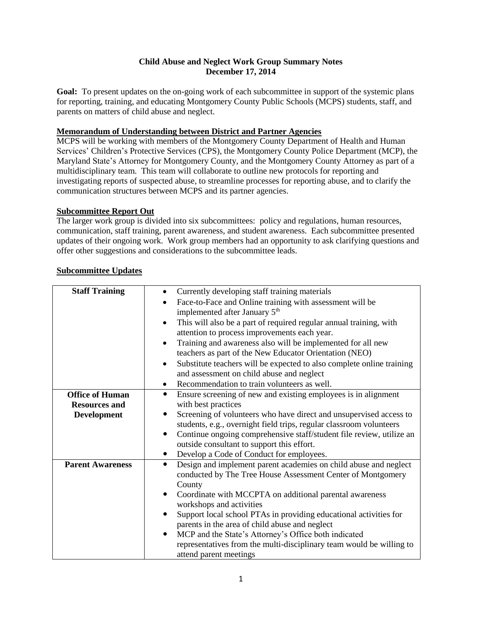## **Child Abuse and Neglect Work Group Summary Notes December 17, 2014**

**Goal:** To present updates on the on-going work of each subcommittee in support of the systemic plans for reporting, training, and educating Montgomery County Public Schools (MCPS) students, staff, and parents on matters of child abuse and neglect.

## **Memorandum of Understanding between District and Partner Agencies**

MCPS will be working with members of the Montgomery County Department of Health and Human Services' Children's Protective Services (CPS), the Montgomery County Police Department (MCP), the Maryland State's Attorney for Montgomery County, and the Montgomery County Attorney as part of a multidisciplinary team. This team will collaborate to outline new protocols for reporting and investigating reports of suspected abuse, to streamline processes for reporting abuse, and to clarify the communication structures between MCPS and its partner agencies.

#### **Subcommittee Report Out**

The larger work group is divided into six subcommittees: policy and regulations, human resources, communication, staff training, parent awareness, and student awareness. Each subcommittee presented updates of their ongoing work. Work group members had an opportunity to ask clarifying questions and offer other suggestions and considerations to the subcommittee leads.

| <b>Staff Training</b>   | Currently developing staff training materials                                   |
|-------------------------|---------------------------------------------------------------------------------|
|                         | Face-to-Face and Online training with assessment will be                        |
|                         | implemented after January 5 <sup>th</sup>                                       |
|                         | This will also be a part of required regular annual training, with<br>$\bullet$ |
|                         | attention to process improvements each year.                                    |
|                         | Training and awareness also will be implemented for all new                     |
|                         | teachers as part of the New Educator Orientation (NEO)                          |
|                         | Substitute teachers will be expected to also complete online training           |
|                         | and assessment on child abuse and neglect                                       |
|                         | Recommendation to train volunteers as well.<br>$\bullet$                        |
| <b>Office of Human</b>  | Ensure screening of new and existing employees is in alignment<br>$\bullet$     |
| <b>Resources and</b>    | with best practices                                                             |
| <b>Development</b>      | Screening of volunteers who have direct and unsupervised access to              |
|                         | students, e.g., overnight field trips, regular classroom volunteers             |
|                         | Continue ongoing comprehensive staff/student file review, utilize an            |
|                         | outside consultant to support this effort.                                      |
|                         | Develop a Code of Conduct for employees.<br>$\bullet$                           |
| <b>Parent Awareness</b> | Design and implement parent academies on child abuse and neglect<br>$\bullet$   |
|                         | conducted by The Tree House Assessment Center of Montgomery                     |
|                         | County                                                                          |
|                         | Coordinate with MCCPTA on additional parental awareness                         |
|                         | workshops and activities                                                        |
|                         | Support local school PTAs in providing educational activities for<br>$\bullet$  |
|                         | parents in the area of child abuse and neglect                                  |
|                         | MCP and the State's Attorney's Office both indicated                            |
|                         | representatives from the multi-disciplinary team would be willing to            |
|                         | attend parent meetings                                                          |

#### **Subcommittee Updates**